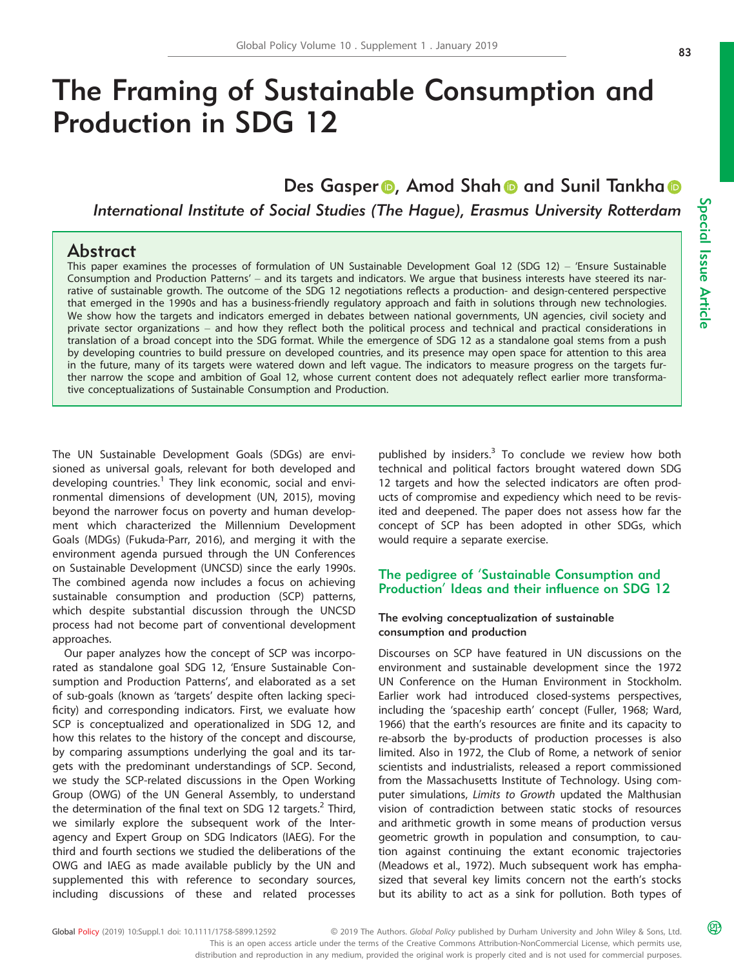# The Framing of Sustainable Consumption and Production in SDG 12

# Des Gaspe[r](http://orcid.org/0000-0002-4614-5454) **D**, Amod Sh[a](http://orcid.org/0000-0003-4038-0661)h **D** and Sunil Tankha **D**

International Institute of Social Studies (The Hague), Erasmus University Rotterdam

# Abstract

This paper examines the processes of formulation of UN Sustainable Development Goal 12 (SDG 12) – 'Ensure Sustainable Consumption and Production Patterns' – and its targets and indicators. We argue that business interests have steered its narrative of sustainable growth. The outcome of the SDG 12 negotiations reflects a production- and design-centered perspective that emerged in the 1990s and has a business-friendly regulatory approach and faith in solutions through new technologies. We show how the targets and indicators emerged in debates between national governments, UN agencies, civil society and private sector organizations – and how they reflect both the political process and technical and practical considerations in translation of a broad concept into the SDG format. While the emergence of SDG 12 as a standalone goal stems from a push by developing countries to build pressure on developed countries, and its presence may open space for attention to this area in the future, many of its targets were watered down and left vague. The indicators to measure progress on the targets further narrow the scope and ambition of Goal 12, whose current content does not adequately reflect earlier more transformative conceptualizations of Sustainable Consumption and Production.

The UN Sustainable Development Goals (SDGs) are envisioned as universal goals, relevant for both developed and developing countries.<sup>1</sup> They link economic, social and environmental dimensions of development (UN, 2015), moving beyond the narrower focus on poverty and human development which characterized the Millennium Development Goals (MDGs) (Fukuda-Parr, 2016), and merging it with the environment agenda pursued through the UN Conferences on Sustainable Development (UNCSD) since the early 1990s. The combined agenda now includes a focus on achieving sustainable consumption and production (SCP) patterns, which despite substantial discussion through the UNCSD process had not become part of conventional development approaches.

Our paper analyzes how the concept of SCP was incorporated as standalone goal SDG 12, 'Ensure Sustainable Consumption and Production Patterns', and elaborated as a set of sub-goals (known as 'targets' despite often lacking specificity) and corresponding indicators. First, we evaluate how SCP is conceptualized and operationalized in SDG 12, and how this relates to the history of the concept and discourse, by comparing assumptions underlying the goal and its targets with the predominant understandings of SCP. Second, we study the SCP-related discussions in the Open Working Group (OWG) of the UN General Assembly, to understand the determination of the final text on SDG 12 targets. $<sup>2</sup>$  Third,</sup> we similarly explore the subsequent work of the Interagency and Expert Group on SDG Indicators (IAEG). For the third and fourth sections we studied the deliberations of the OWG and IAEG as made available publicly by the UN and supplemented this with reference to secondary sources, including discussions of these and related processes

published by insiders.<sup>3</sup> To conclude we review how both technical and political factors brought watered down SDG 12 targets and how the selected indicators are often products of compromise and expediency which need to be revisited and deepened. The paper does not assess how far the concept of SCP has been adopted in other SDGs, which would require a separate exercise.

# The pedigree of 'Sustainable Consumption and Production' Ideas and their influence on SDG 12

#### The evolving conceptualization of sustainable consumption and production

Discourses on SCP have featured in UN discussions on the environment and sustainable development since the 1972 UN Conference on the Human Environment in Stockholm. Earlier work had introduced closed-systems perspectives, including the 'spaceship earth' concept (Fuller, 1968; Ward, 1966) that the earth's resources are finite and its capacity to re-absorb the by-products of production processes is also limited. Also in 1972, the Club of Rome, a network of senior scientists and industrialists, released a report commissioned from the Massachusetts Institute of Technology. Using computer simulations, Limits to Growth updated the Malthusian vision of contradiction between static stocks of resources and arithmetic growth in some means of production versus geometric growth in population and consumption, to caution against continuing the extant economic trajectories (Meadows et al., 1972). Much subsequent work has emphasized that several key limits concern not the earth's stocks but its ability to act as a sink for pollution. Both types of

Special Issue

This is an open access article under the terms of the [Creative Commons Attribution-NonCommercial](http://creativecommons.org/licenses/by-nc/4.0/) License, which permits use, distribution and reproduction in any medium, provided the original work is properly cited and is not used for commercial purposes.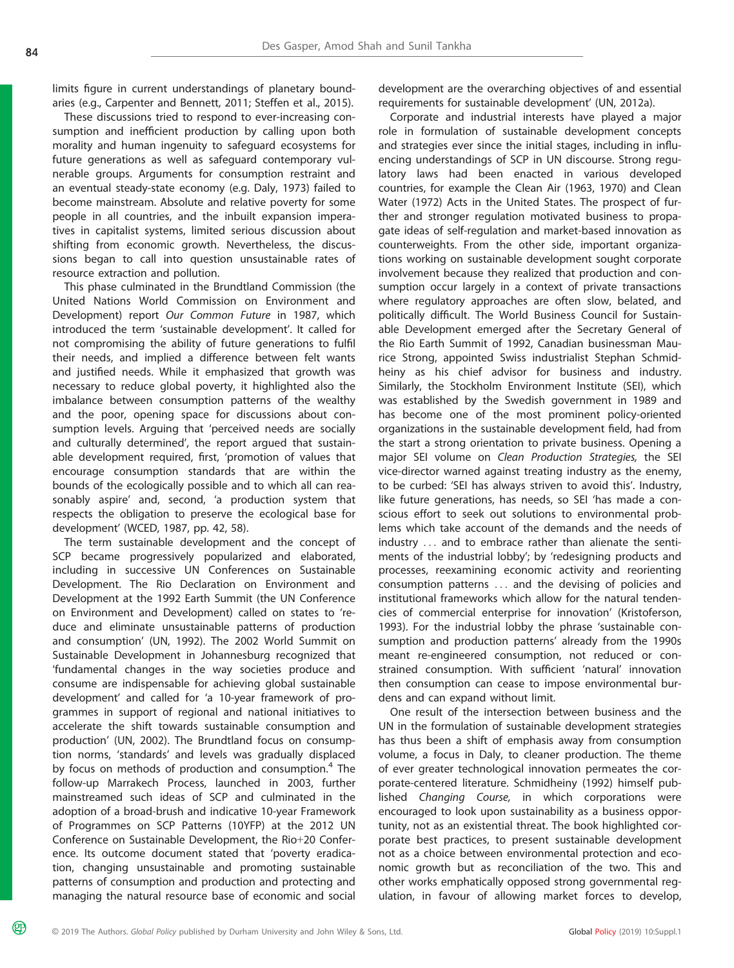മ്ര

limits figure in current understandings of planetary boundaries (e.g., Carpenter and Bennett, 2011; Steffen et al., 2015).

These discussions tried to respond to ever-increasing consumption and inefficient production by calling upon both morality and human ingenuity to safeguard ecosystems for future generations as well as safeguard contemporary vulnerable groups. Arguments for consumption restraint and an eventual steady-state economy (e.g. Daly, 1973) failed to become mainstream. Absolute and relative poverty for some people in all countries, and the inbuilt expansion imperatives in capitalist systems, limited serious discussion about shifting from economic growth. Nevertheless, the discussions began to call into question unsustainable rates of resource extraction and pollution.

This phase culminated in the Brundtland Commission (the United Nations World Commission on Environment and Development) report Our Common Future in 1987, which introduced the term 'sustainable development'. It called for not compromising the ability of future generations to fulfil their needs, and implied a difference between felt wants and justified needs. While it emphasized that growth was necessary to reduce global poverty, it highlighted also the imbalance between consumption patterns of the wealthy and the poor, opening space for discussions about consumption levels. Arguing that 'perceived needs are socially and culturally determined', the report argued that sustainable development required, first, 'promotion of values that encourage consumption standards that are within the bounds of the ecologically possible and to which all can reasonably aspire' and, second, 'a production system that respects the obligation to preserve the ecological base for development' (WCED, 1987, pp. 42, 58).

The term sustainable development and the concept of SCP became progressively popularized and elaborated, including in successive UN Conferences on Sustainable Development. The Rio Declaration on Environment and Development at the 1992 Earth Summit (the UN Conference on Environment and Development) called on states to 'reduce and eliminate unsustainable patterns of production and consumption' (UN, 1992). The 2002 World Summit on Sustainable Development in Johannesburg recognized that 'fundamental changes in the way societies produce and consume are indispensable for achieving global sustainable development' and called for 'a 10-year framework of programmes in support of regional and national initiatives to accelerate the shift towards sustainable consumption and production' (UN, 2002). The Brundtland focus on consumption norms, 'standards' and levels was gradually displaced by focus on methods of production and consumption.<sup>4</sup> The follow-up Marrakech Process, launched in 2003, further mainstreamed such ideas of SCP and culminated in the adoption of a broad-brush and indicative 10-year Framework of Programmes on SCP Patterns (10YFP) at the 2012 UN Conference on Sustainable Development, the Rio+20 Conference. Its outcome document stated that 'poverty eradication, changing unsustainable and promoting sustainable patterns of consumption and production and protecting and managing the natural resource base of economic and social

development are the overarching objectives of and essential requirements for sustainable development' (UN, 2012a).

Corporate and industrial interests have played a major role in formulation of sustainable development concepts and strategies ever since the initial stages, including in influencing understandings of SCP in UN discourse. Strong regulatory laws had been enacted in various developed countries, for example the Clean Air (1963, 1970) and Clean Water (1972) Acts in the United States. The prospect of further and stronger regulation motivated business to propagate ideas of self-regulation and market-based innovation as counterweights. From the other side, important organizations working on sustainable development sought corporate involvement because they realized that production and consumption occur largely in a context of private transactions where regulatory approaches are often slow, belated, and politically difficult. The World Business Council for Sustainable Development emerged after the Secretary General of the Rio Earth Summit of 1992, Canadian businessman Maurice Strong, appointed Swiss industrialist Stephan Schmidheiny as his chief advisor for business and industry. Similarly, the Stockholm Environment Institute (SEI), which was established by the Swedish government in 1989 and has become one of the most prominent policy-oriented organizations in the sustainable development field, had from the start a strong orientation to private business. Opening a major SEI volume on Clean Production Strategies, the SEI vice-director warned against treating industry as the enemy, to be curbed: 'SEI has always striven to avoid this'. Industry, like future generations, has needs, so SEI 'has made a conscious effort to seek out solutions to environmental problems which take account of the demands and the needs of industry ... and to embrace rather than alienate the sentiments of the industrial lobby'; by 'redesigning products and processes, reexamining economic activity and reorienting consumption patterns ... and the devising of policies and institutional frameworks which allow for the natural tendencies of commercial enterprise for innovation' (Kristoferson, 1993). For the industrial lobby the phrase 'sustainable consumption and production patterns' already from the 1990s meant re-engineered consumption, not reduced or constrained consumption. With sufficient 'natural' innovation then consumption can cease to impose environmental burdens and can expand without limit.

One result of the intersection between business and the UN in the formulation of sustainable development strategies has thus been a shift of emphasis away from consumption volume, a focus in Daly, to cleaner production. The theme of ever greater technological innovation permeates the corporate-centered literature. Schmidheiny (1992) himself published Changing Course, in which corporations were encouraged to look upon sustainability as a business opportunity, not as an existential threat. The book highlighted corporate best practices, to present sustainable development not as a choice between environmental protection and economic growth but as reconciliation of the two. This and other works emphatically opposed strong governmental regulation, in favour of allowing market forces to develop,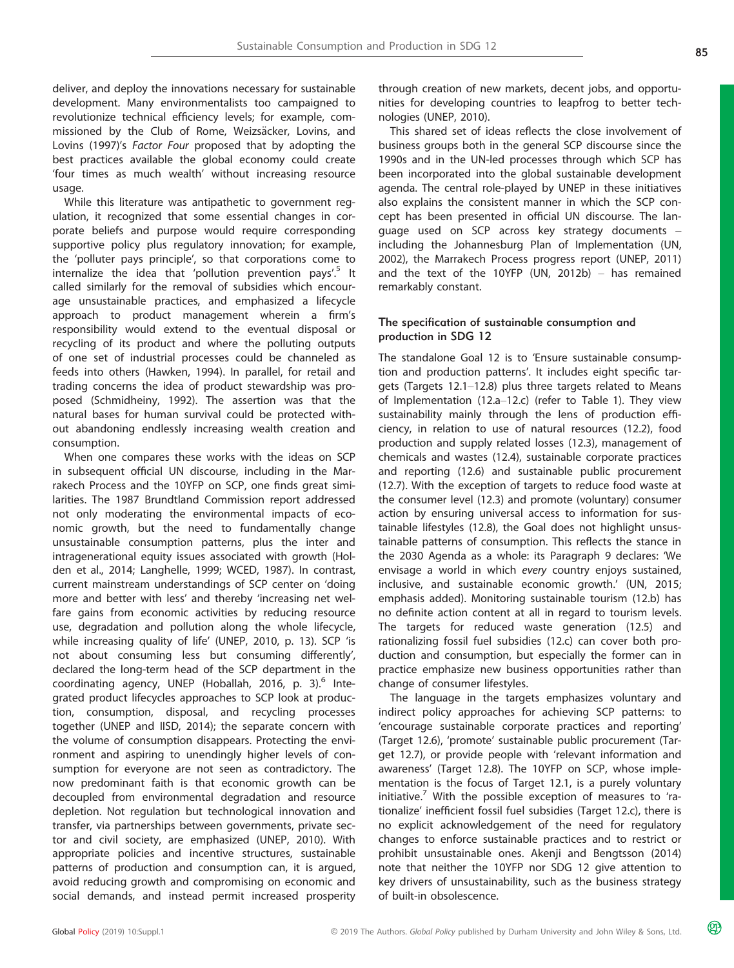deliver, and deploy the innovations necessary for sustainable development. Many environmentalists too campaigned to revolutionize technical efficiency levels; for example, commissioned by the Club of Rome, Weizsäcker, Lovins, and Lovins (1997)'s Factor Four proposed that by adopting the best practices available the global economy could create 'four times as much wealth' without increasing resource usage.

While this literature was antipathetic to government regulation, it recognized that some essential changes in corporate beliefs and purpose would require corresponding supportive policy plus regulatory innovation; for example, the 'polluter pays principle', so that corporations come to internalize the idea that 'pollution prevention pays'.<sup>5</sup> It called similarly for the removal of subsidies which encourage unsustainable practices, and emphasized a lifecycle approach to product management wherein a firm's responsibility would extend to the eventual disposal or recycling of its product and where the polluting outputs of one set of industrial processes could be channeled as feeds into others (Hawken, 1994). In parallel, for retail and trading concerns the idea of product stewardship was proposed (Schmidheiny, 1992). The assertion was that the natural bases for human survival could be protected without abandoning endlessly increasing wealth creation and consumption.

When one compares these works with the ideas on SCP in subsequent official UN discourse, including in the Marrakech Process and the 10YFP on SCP, one finds great similarities. The 1987 Brundtland Commission report addressed not only moderating the environmental impacts of economic growth, but the need to fundamentally change unsustainable consumption patterns, plus the inter and intragenerational equity issues associated with growth (Holden et al., 2014; Langhelle, 1999; WCED, 1987). In contrast, current mainstream understandings of SCP center on 'doing more and better with less' and thereby 'increasing net welfare gains from economic activities by reducing resource use, degradation and pollution along the whole lifecycle, while increasing quality of life' (UNEP, 2010, p. 13). SCP 'is not about consuming less but consuming differently', declared the long-term head of the SCP department in the coordinating agency, UNEP (Hoballah, 2016, p. 3).<sup>6</sup> Integrated product lifecycles approaches to SCP look at production, consumption, disposal, and recycling processes together (UNEP and IISD, 2014); the separate concern with the volume of consumption disappears. Protecting the environment and aspiring to unendingly higher levels of consumption for everyone are not seen as contradictory. The now predominant faith is that economic growth can be decoupled from environmental degradation and resource depletion. Not regulation but technological innovation and transfer, via partnerships between governments, private sector and civil society, are emphasized (UNEP, 2010). With appropriate policies and incentive structures, sustainable patterns of production and consumption can, it is argued, avoid reducing growth and compromising on economic and social demands, and instead permit increased prosperity

through creation of new markets, decent jobs, and opportunities for developing countries to leapfrog to better technologies (UNEP, 2010).

This shared set of ideas reflects the close involvement of business groups both in the general SCP discourse since the 1990s and in the UN-led processes through which SCP has been incorporated into the global sustainable development agenda. The central role-played by UNEP in these initiatives also explains the consistent manner in which the SCP concept has been presented in official UN discourse. The language used on SCP across key strategy documents – including the Johannesburg Plan of Implementation (UN, 2002), the Marrakech Process progress report (UNEP, 2011) and the text of the 10YFP (UN, 2012b) – has remained remarkably constant.

#### The specification of sustainable consumption and production in SDG 12

The standalone Goal 12 is to 'Ensure sustainable consumption and production patterns'. It includes eight specific targets (Targets 12.1–12.8) plus three targets related to Means of Implementation (12.a–12.c) (refer to Table 1). They view sustainability mainly through the lens of production efficiency, in relation to use of natural resources (12.2), food production and supply related losses (12.3), management of chemicals and wastes (12.4), sustainable corporate practices and reporting (12.6) and sustainable public procurement (12.7). With the exception of targets to reduce food waste at the consumer level (12.3) and promote (voluntary) consumer action by ensuring universal access to information for sustainable lifestyles (12.8), the Goal does not highlight unsustainable patterns of consumption. This reflects the stance in the 2030 Agenda as a whole: its Paragraph 9 declares: 'We envisage a world in which every country enjoys sustained, inclusive, and sustainable economic growth.' (UN, 2015; emphasis added). Monitoring sustainable tourism (12.b) has no definite action content at all in regard to tourism levels. The targets for reduced waste generation (12.5) and rationalizing fossil fuel subsidies (12.c) can cover both production and consumption, but especially the former can in practice emphasize new business opportunities rather than change of consumer lifestyles.

The language in the targets emphasizes voluntary and indirect policy approaches for achieving SCP patterns: to 'encourage sustainable corporate practices and reporting' (Target 12.6), 'promote' sustainable public procurement (Target 12.7), or provide people with 'relevant information and awareness' (Target 12.8). The 10YFP on SCP, whose implementation is the focus of Target 12.1, is a purely voluntary initiative.<sup>7</sup> With the possible exception of measures to 'rationalize' inefficient fossil fuel subsidies (Target 12.c), there is no explicit acknowledgement of the need for regulatory changes to enforce sustainable practices and to restrict or prohibit unsustainable ones. Akenji and Bengtsson (2014) note that neither the 10YFP nor SDG 12 give attention to key drivers of unsustainability, such as the business strategy of built-in obsolescence.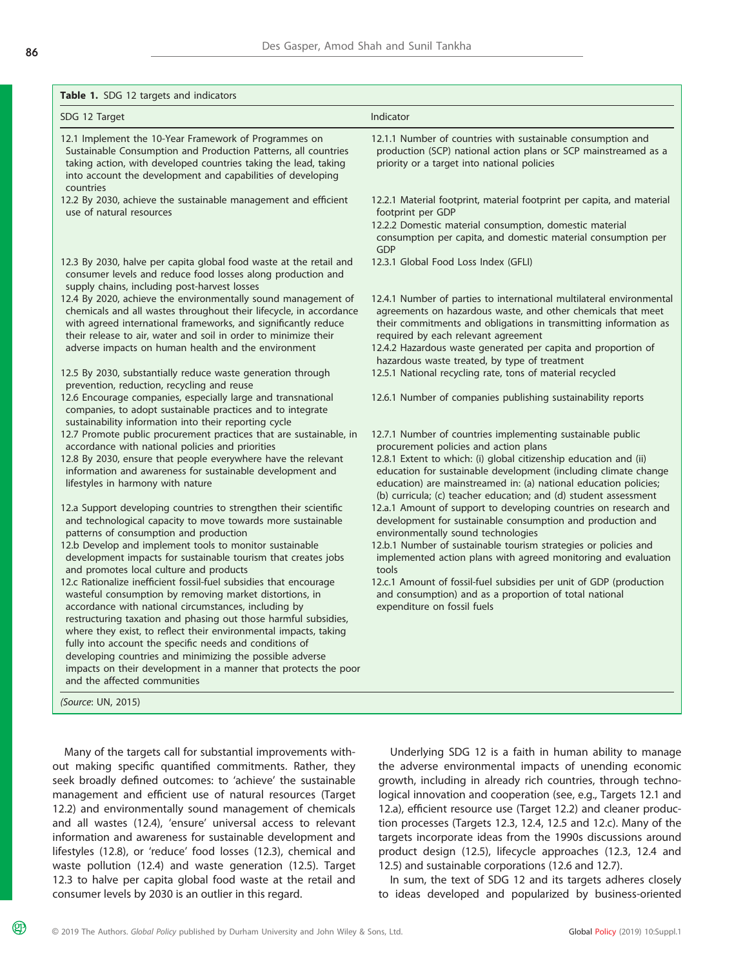| Table 1. SDG 12 targets and indicators                                                                                                                                                                                                                                                                                                                                                                                                                                                                                                                                             |                                                                                                                                                                                                                                                                                                                                                                                     |
|------------------------------------------------------------------------------------------------------------------------------------------------------------------------------------------------------------------------------------------------------------------------------------------------------------------------------------------------------------------------------------------------------------------------------------------------------------------------------------------------------------------------------------------------------------------------------------|-------------------------------------------------------------------------------------------------------------------------------------------------------------------------------------------------------------------------------------------------------------------------------------------------------------------------------------------------------------------------------------|
| SDG 12 Target                                                                                                                                                                                                                                                                                                                                                                                                                                                                                                                                                                      | Indicator                                                                                                                                                                                                                                                                                                                                                                           |
| 12.1 Implement the 10-Year Framework of Programmes on<br>Sustainable Consumption and Production Patterns, all countries<br>taking action, with developed countries taking the lead, taking<br>into account the development and capabilities of developing<br>countries                                                                                                                                                                                                                                                                                                             | 12.1.1 Number of countries with sustainable consumption and<br>production (SCP) national action plans or SCP mainstreamed as a<br>priority or a target into national policies                                                                                                                                                                                                       |
| 12.2 By 2030, achieve the sustainable management and efficient<br>use of natural resources                                                                                                                                                                                                                                                                                                                                                                                                                                                                                         | 12.2.1 Material footprint, material footprint per capita, and material<br>footprint per GDP<br>12.2.2 Domestic material consumption, domestic material<br>consumption per capita, and domestic material consumption per<br>GDP                                                                                                                                                      |
| 12.3 By 2030, halve per capita global food waste at the retail and<br>consumer levels and reduce food losses along production and<br>supply chains, including post-harvest losses                                                                                                                                                                                                                                                                                                                                                                                                  | 12.3.1 Global Food Loss Index (GFLI)                                                                                                                                                                                                                                                                                                                                                |
| 12.4 By 2020, achieve the environmentally sound management of<br>chemicals and all wastes throughout their lifecycle, in accordance<br>with agreed international frameworks, and significantly reduce<br>their release to air, water and soil in order to minimize their<br>adverse impacts on human health and the environment                                                                                                                                                                                                                                                    | 12.4.1 Number of parties to international multilateral environmental<br>agreements on hazardous waste, and other chemicals that meet<br>their commitments and obligations in transmitting information as<br>required by each relevant agreement<br>12.4.2 Hazardous waste generated per capita and proportion of<br>hazardous waste treated, by type of treatment                   |
| 12.5 By 2030, substantially reduce waste generation through<br>prevention, reduction, recycling and reuse                                                                                                                                                                                                                                                                                                                                                                                                                                                                          | 12.5.1 National recycling rate, tons of material recycled                                                                                                                                                                                                                                                                                                                           |
| 12.6 Encourage companies, especially large and transnational<br>companies, to adopt sustainable practices and to integrate<br>sustainability information into their reporting cycle                                                                                                                                                                                                                                                                                                                                                                                                | 12.6.1 Number of companies publishing sustainability reports                                                                                                                                                                                                                                                                                                                        |
| 12.7 Promote public procurement practices that are sustainable, in<br>accordance with national policies and priorities<br>12.8 By 2030, ensure that people everywhere have the relevant<br>information and awareness for sustainable development and<br>lifestyles in harmony with nature                                                                                                                                                                                                                                                                                          | 12.7.1 Number of countries implementing sustainable public<br>procurement policies and action plans<br>12.8.1 Extent to which: (i) global citizenship education and (ii)<br>education for sustainable development (including climate change<br>education) are mainstreamed in: (a) national education policies;<br>(b) curricula; (c) teacher education; and (d) student assessment |
| 12.a Support developing countries to strengthen their scientific<br>and technological capacity to move towards more sustainable<br>patterns of consumption and production                                                                                                                                                                                                                                                                                                                                                                                                          | 12.a.1 Amount of support to developing countries on research and<br>development for sustainable consumption and production and<br>environmentally sound technologies                                                                                                                                                                                                                |
| 12.b Develop and implement tools to monitor sustainable<br>development impacts for sustainable tourism that creates jobs<br>and promotes local culture and products                                                                                                                                                                                                                                                                                                                                                                                                                | 12.b.1 Number of sustainable tourism strategies or policies and<br>implemented action plans with agreed monitoring and evaluation<br>tools                                                                                                                                                                                                                                          |
| 12.c Rationalize inefficient fossil-fuel subsidies that encourage<br>wasteful consumption by removing market distortions, in<br>accordance with national circumstances, including by<br>restructuring taxation and phasing out those harmful subsidies,<br>where they exist, to reflect their environmental impacts, taking<br>fully into account the specific needs and conditions of<br>developing countries and minimizing the possible adverse<br>impacts on their development in a manner that protects the poor<br>and the affected communities<br><i>(Source: UN, 2015)</i> | 12.c.1 Amount of fossil-fuel subsidies per unit of GDP (production<br>and consumption) and as a proportion of total national<br>expenditure on fossil fuels                                                                                                                                                                                                                         |

Many of the targets call for substantial improvements without making specific quantified commitments. Rather, they seek broadly defined outcomes: to 'achieve' the sustainable management and efficient use of natural resources (Target 12.2) and environmentally sound management of chemicals and all wastes (12.4), 'ensure' universal access to relevant information and awareness for sustainable development and lifestyles (12.8), or 'reduce' food losses (12.3), chemical and waste pollution (12.4) and waste generation (12.5). Target 12.3 to halve per capita global food waste at the retail and consumer levels by 2030 is an outlier in this regard.

Underlying SDG 12 is a faith in human ability to manage the adverse environmental impacts of unending economic growth, including in already rich countries, through technological innovation and cooperation (see, e.g., Targets 12.1 and 12.a), efficient resource use (Target 12.2) and cleaner production processes (Targets 12.3, 12.4, 12.5 and 12.c). Many of the targets incorporate ideas from the 1990s discussions around product design (12.5), lifecycle approaches (12.3, 12.4 and 12.5) and sustainable corporations (12.6 and 12.7).

In sum, the text of SDG 12 and its targets adheres closely to ideas developed and popularized by business-oriented

മ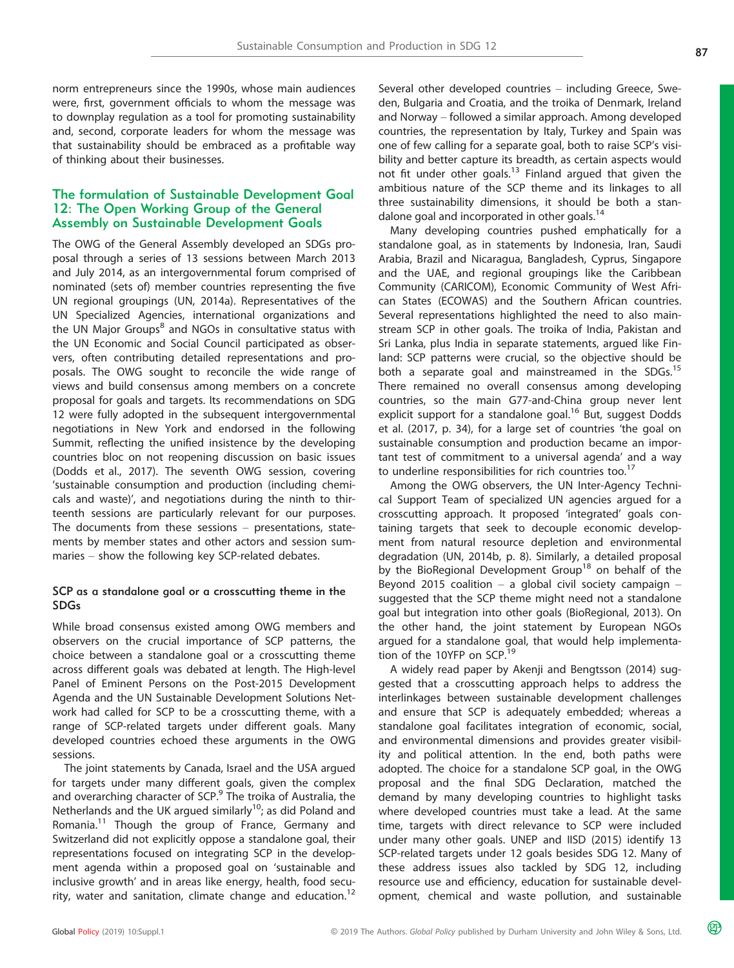norm entrepreneurs since the 1990s, whose main audiences were, first, government officials to whom the message was to downplay regulation as a tool for promoting sustainability and, second, corporate leaders for whom the message was that sustainability should be embraced as a profitable way of thinking about their businesses.

# The formulation of Sustainable Development Goal 12: The Open Working Group of the General Assembly on Sustainable Development Goals

The OWG of the General Assembly developed an SDGs proposal through a series of 13 sessions between March 2013 and July 2014, as an intergovernmental forum comprised of nominated (sets of) member countries representing the five UN regional groupings (UN, 2014a). Representatives of the UN Specialized Agencies, international organizations and the UN Major Groups<sup>8</sup> and NGOs in consultative status with the UN Economic and Social Council participated as observers, often contributing detailed representations and proposals. The OWG sought to reconcile the wide range of views and build consensus among members on a concrete proposal for goals and targets. Its recommendations on SDG 12 were fully adopted in the subsequent intergovernmental negotiations in New York and endorsed in the following Summit, reflecting the unified insistence by the developing countries bloc on not reopening discussion on basic issues (Dodds et al., 2017). The seventh OWG session, covering 'sustainable consumption and production (including chemicals and waste)', and negotiations during the ninth to thirteenth sessions are particularly relevant for our purposes. The documents from these sessions – presentations, statements by member states and other actors and session summaries – show the following key SCP-related debates.

#### SCP as a standalone goal or a crosscutting theme in the SDGs

While broad consensus existed among OWG members and observers on the crucial importance of SCP patterns, the choice between a standalone goal or a crosscutting theme across different goals was debated at length. The High-level Panel of Eminent Persons on the Post-2015 Development Agenda and the UN Sustainable Development Solutions Network had called for SCP to be a crosscutting theme, with a range of SCP-related targets under different goals. Many developed countries echoed these arguments in the OWG sessions.

The joint statements by Canada, Israel and the USA argued for targets under many different goals, given the complex and overarching character of SCP.<sup>9</sup> The troika of Australia, the Netherlands and the UK argued similarly<sup>10</sup>; as did Poland and Romania.<sup>11</sup> Though the group of France, Germany and Switzerland did not explicitly oppose a standalone goal, their representations focused on integrating SCP in the development agenda within a proposed goal on 'sustainable and inclusive growth' and in areas like energy, health, food security, water and sanitation, climate change and education.<sup>12</sup>

Several other developed countries – including Greece, Sweden, Bulgaria and Croatia, and the troika of Denmark, Ireland and Norway – followed a similar approach. Among developed countries, the representation by Italy, Turkey and Spain was one of few calling for a separate goal, both to raise SCP's visibility and better capture its breadth, as certain aspects would not fit under other goals.<sup>13</sup> Finland argued that given the ambitious nature of the SCP theme and its linkages to all three sustainability dimensions, it should be both a standalone goal and incorporated in other goals.<sup>14</sup>

Many developing countries pushed emphatically for a standalone goal, as in statements by Indonesia, Iran, Saudi Arabia, Brazil and Nicaragua, Bangladesh, Cyprus, Singapore and the UAE, and regional groupings like the Caribbean Community (CARICOM), Economic Community of West African States (ECOWAS) and the Southern African countries. Several representations highlighted the need to also mainstream SCP in other goals. The troika of India, Pakistan and Sri Lanka, plus India in separate statements, argued like Finland: SCP patterns were crucial, so the objective should be both a separate goal and mainstreamed in the SDGs.<sup>15</sup> There remained no overall consensus among developing countries, so the main G77-and-China group never lent explicit support for a standalone goal.<sup>16</sup> But, suggest Dodds et al. (2017, p. 34), for a large set of countries 'the goal on sustainable consumption and production became an important test of commitment to a universal agenda' and a way to underline responsibilities for rich countries too. $17$ 

Among the OWG observers, the UN Inter-Agency Technical Support Team of specialized UN agencies argued for a crosscutting approach. It proposed 'integrated' goals containing targets that seek to decouple economic development from natural resource depletion and environmental degradation (UN, 2014b, p. 8). Similarly, a detailed proposal by the BioRegional Development Group<sup>18</sup> on behalf of the Beyond 2015 coalition – a global civil society campaign – suggested that the SCP theme might need not a standalone goal but integration into other goals (BioRegional, 2013). On the other hand, the joint statement by European NGOs argued for a standalone goal, that would help implementation of the 10YFP on SCP.<sup>19</sup>

A widely read paper by Akenji and Bengtsson (2014) suggested that a crosscutting approach helps to address the interlinkages between sustainable development challenges and ensure that SCP is adequately embedded; whereas a standalone goal facilitates integration of economic, social, and environmental dimensions and provides greater visibility and political attention. In the end, both paths were adopted. The choice for a standalone SCP goal, in the OWG proposal and the final SDG Declaration, matched the demand by many developing countries to highlight tasks where developed countries must take a lead. At the same time, targets with direct relevance to SCP were included under many other goals. UNEP and IISD (2015) identify 13 SCP-related targets under 12 goals besides SDG 12. Many of these address issues also tackled by SDG 12, including resource use and efficiency, education for sustainable development, chemical and waste pollution, and sustainable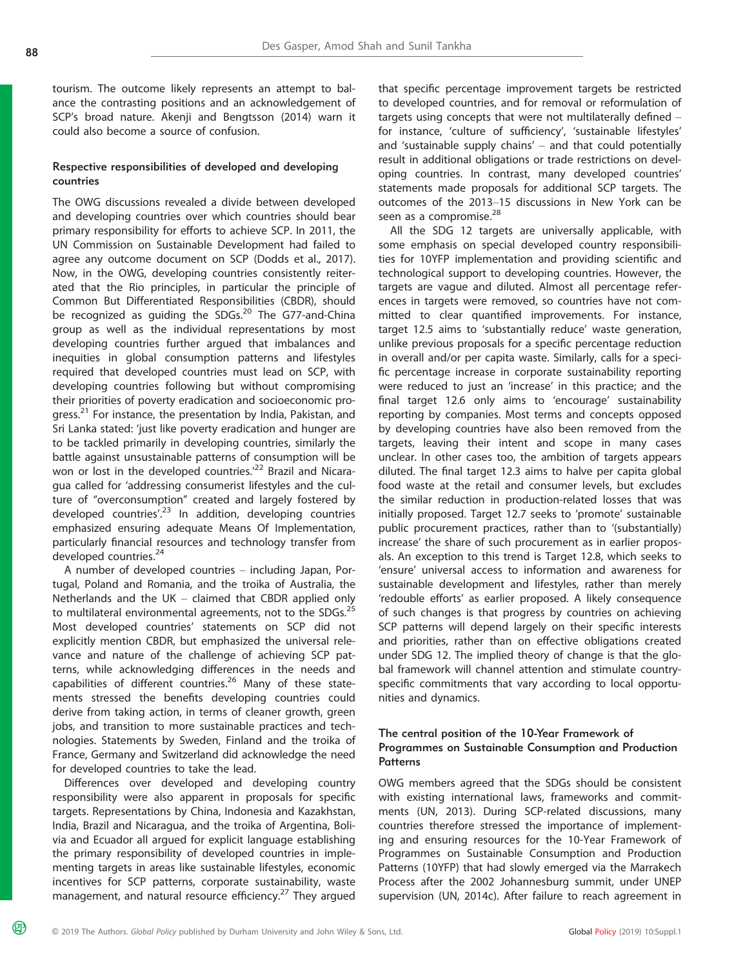മ്ര

tourism. The outcome likely represents an attempt to balance the contrasting positions and an acknowledgement of SCP's broad nature. Akenji and Bengtsson (2014) warn it could also become a source of confusion.

#### Respective responsibilities of developed and developing countries

The OWG discussions revealed a divide between developed and developing countries over which countries should bear primary responsibility for efforts to achieve SCP. In 2011, the UN Commission on Sustainable Development had failed to agree any outcome document on SCP (Dodds et al., 2017). Now, in the OWG, developing countries consistently reiterated that the Rio principles, in particular the principle of Common But Differentiated Responsibilities (CBDR), should be recognized as guiding the SDGs.<sup>20</sup> The G77-and-China group as well as the individual representations by most developing countries further argued that imbalances and inequities in global consumption patterns and lifestyles required that developed countries must lead on SCP, with developing countries following but without compromising their priorities of poverty eradication and socioeconomic progress.<sup>21</sup> For instance, the presentation by India, Pakistan, and Sri Lanka stated: 'just like poverty eradication and hunger are to be tackled primarily in developing countries, similarly the battle against unsustainable patterns of consumption will be won or lost in the developed countries.<sup>22</sup> Brazil and Nicaragua called for 'addressing consumerist lifestyles and the culture of "overconsumption" created and largely fostered by developed countries'. <sup>23</sup> In addition, developing countries emphasized ensuring adequate Means Of Implementation, particularly financial resources and technology transfer from developed countries.<sup>24</sup>

A number of developed countries – including Japan, Portugal, Poland and Romania, and the troika of Australia, the Netherlands and the UK – claimed that CBDR applied only to multilateral environmental agreements, not to the SDGs.<sup>25</sup> Most developed countries' statements on SCP did not explicitly mention CBDR, but emphasized the universal relevance and nature of the challenge of achieving SCP patterns, while acknowledging differences in the needs and capabilities of different countries.<sup>26</sup> Many of these statements stressed the benefits developing countries could derive from taking action, in terms of cleaner growth, green jobs, and transition to more sustainable practices and technologies. Statements by Sweden, Finland and the troika of France, Germany and Switzerland did acknowledge the need for developed countries to take the lead.

Differences over developed and developing country responsibility were also apparent in proposals for specific targets. Representations by China, Indonesia and Kazakhstan, India, Brazil and Nicaragua, and the troika of Argentina, Bolivia and Ecuador all argued for explicit language establishing the primary responsibility of developed countries in implementing targets in areas like sustainable lifestyles, economic incentives for SCP patterns, corporate sustainability, waste management, and natural resource efficiency.<sup>27</sup> They argued that specific percentage improvement targets be restricted to developed countries, and for removal or reformulation of targets using concepts that were not multilaterally defined – for instance, 'culture of sufficiency', 'sustainable lifestyles' and 'sustainable supply chains' – and that could potentially result in additional obligations or trade restrictions on developing countries. In contrast, many developed countries' statements made proposals for additional SCP targets. The outcomes of the 2013–15 discussions in New York can be seen as a compromise.<sup>28</sup>

All the SDG 12 targets are universally applicable, with some emphasis on special developed country responsibilities for 10YFP implementation and providing scientific and technological support to developing countries. However, the targets are vague and diluted. Almost all percentage references in targets were removed, so countries have not committed to clear quantified improvements. For instance, target 12.5 aims to 'substantially reduce' waste generation, unlike previous proposals for a specific percentage reduction in overall and/or per capita waste. Similarly, calls for a specific percentage increase in corporate sustainability reporting were reduced to just an 'increase' in this practice; and the final target 12.6 only aims to 'encourage' sustainability reporting by companies. Most terms and concepts opposed by developing countries have also been removed from the targets, leaving their intent and scope in many cases unclear. In other cases too, the ambition of targets appears diluted. The final target 12.3 aims to halve per capita global food waste at the retail and consumer levels, but excludes the similar reduction in production-related losses that was initially proposed. Target 12.7 seeks to 'promote' sustainable public procurement practices, rather than to '(substantially) increase' the share of such procurement as in earlier proposals. An exception to this trend is Target 12.8, which seeks to 'ensure' universal access to information and awareness for sustainable development and lifestyles, rather than merely 'redouble efforts' as earlier proposed. A likely consequence of such changes is that progress by countries on achieving SCP patterns will depend largely on their specific interests and priorities, rather than on effective obligations created under SDG 12. The implied theory of change is that the global framework will channel attention and stimulate countryspecific commitments that vary according to local opportunities and dynamics.

#### The central position of the 10-Year Framework of Programmes on Sustainable Consumption and Production **Patterns**

OWG members agreed that the SDGs should be consistent with existing international laws, frameworks and commitments (UN, 2013). During SCP-related discussions, many countries therefore stressed the importance of implementing and ensuring resources for the 10-Year Framework of Programmes on Sustainable Consumption and Production Patterns (10YFP) that had slowly emerged via the Marrakech Process after the 2002 Johannesburg summit, under UNEP supervision (UN, 2014c). After failure to reach agreement in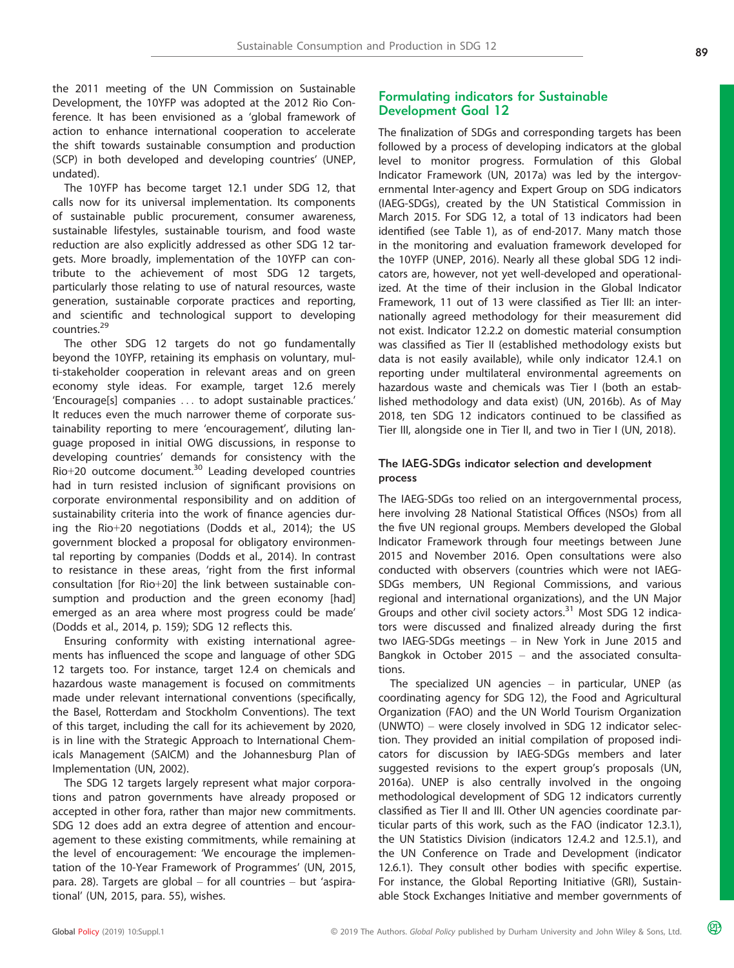the 2011 meeting of the UN Commission on Sustainable Development, the 10YFP was adopted at the 2012 Rio Conference. It has been envisioned as a 'global framework of action to enhance international cooperation to accelerate the shift towards sustainable consumption and production (SCP) in both developed and developing countries' (UNEP, undated).

The 10YFP has become target 12.1 under SDG 12, that calls now for its universal implementation. Its components of sustainable public procurement, consumer awareness, sustainable lifestyles, sustainable tourism, and food waste reduction are also explicitly addressed as other SDG 12 targets. More broadly, implementation of the 10YFP can contribute to the achievement of most SDG 12 targets, particularly those relating to use of natural resources, waste generation, sustainable corporate practices and reporting, and scientific and technological support to developing countries.<sup>29</sup>

The other SDG 12 targets do not go fundamentally beyond the 10YFP, retaining its emphasis on voluntary, multi-stakeholder cooperation in relevant areas and on green economy style ideas. For example, target 12.6 merely 'Encourage[s] companies ... to adopt sustainable practices.' It reduces even the much narrower theme of corporate sustainability reporting to mere 'encouragement', diluting language proposed in initial OWG discussions, in response to developing countries' demands for consistency with the Rio+20 outcome document.<sup>30</sup> Leading developed countries had in turn resisted inclusion of significant provisions on corporate environmental responsibility and on addition of sustainability criteria into the work of finance agencies during the Rio+20 negotiations (Dodds et al., 2014); the US government blocked a proposal for obligatory environmental reporting by companies (Dodds et al., 2014). In contrast to resistance in these areas, 'right from the first informal consultation [for Rio+20] the link between sustainable consumption and production and the green economy [had] emerged as an area where most progress could be made' (Dodds et al., 2014, p. 159); SDG 12 reflects this.

Ensuring conformity with existing international agreements has influenced the scope and language of other SDG 12 targets too. For instance, target 12.4 on chemicals and hazardous waste management is focused on commitments made under relevant international conventions (specifically, the Basel, Rotterdam and Stockholm Conventions). The text of this target, including the call for its achievement by 2020, is in line with the Strategic Approach to International Chemicals Management (SAICM) and the Johannesburg Plan of Implementation (UN, 2002).

The SDG 12 targets largely represent what major corporations and patron governments have already proposed or accepted in other fora, rather than major new commitments. SDG 12 does add an extra degree of attention and encouragement to these existing commitments, while remaining at the level of encouragement: 'We encourage the implementation of the 10-Year Framework of Programmes' (UN, 2015, para. 28). Targets are global – for all countries – but 'aspirational' (UN, 2015, para. 55), wishes.

## Formulating indicators for Sustainable Development Goal 12

The finalization of SDGs and corresponding targets has been followed by a process of developing indicators at the global level to monitor progress. Formulation of this Global Indicator Framework (UN, 2017a) was led by the intergovernmental Inter-agency and Expert Group on SDG indicators (IAEG-SDGs), created by the UN Statistical Commission in March 2015. For SDG 12, a total of 13 indicators had been identified (see Table 1), as of end-2017. Many match those in the monitoring and evaluation framework developed for the 10YFP (UNEP, 2016). Nearly all these global SDG 12 indicators are, however, not yet well-developed and operationalized. At the time of their inclusion in the Global Indicator Framework, 11 out of 13 were classified as Tier III: an internationally agreed methodology for their measurement did not exist. Indicator 12.2.2 on domestic material consumption was classified as Tier II (established methodology exists but data is not easily available), while only indicator 12.4.1 on reporting under multilateral environmental agreements on hazardous waste and chemicals was Tier I (both an established methodology and data exist) (UN, 2016b). As of May 2018, ten SDG 12 indicators continued to be classified as Tier III, alongside one in Tier II, and two in Tier I (UN, 2018).

#### The IAEG-SDGs indicator selection and development process

The IAEG-SDGs too relied on an intergovernmental process, here involving 28 National Statistical Offices (NSOs) from all the five UN regional groups. Members developed the Global Indicator Framework through four meetings between June 2015 and November 2016. Open consultations were also conducted with observers (countries which were not IAEG-SDGs members, UN Regional Commissions, and various regional and international organizations), and the UN Major Groups and other civil society actors.<sup>31</sup> Most SDG 12 indicators were discussed and finalized already during the first two IAEG-SDGs meetings – in New York in June 2015 and Bangkok in October 2015 – and the associated consultations.

The specialized UN agencies  $-$  in particular, UNEP (as coordinating agency for SDG 12), the Food and Agricultural Organization (FAO) and the UN World Tourism Organization (UNWTO) – were closely involved in SDG 12 indicator selection. They provided an initial compilation of proposed indicators for discussion by IAEG-SDGs members and later suggested revisions to the expert group's proposals (UN, 2016a). UNEP is also centrally involved in the ongoing methodological development of SDG 12 indicators currently classified as Tier II and III. Other UN agencies coordinate particular parts of this work, such as the FAO (indicator 12.3.1), the UN Statistics Division (indicators 12.4.2 and 12.5.1), and the UN Conference on Trade and Development (indicator 12.6.1). They consult other bodies with specific expertise. For instance, the Global Reporting Initiative (GRI), Sustainable Stock Exchanges Initiative and member governments of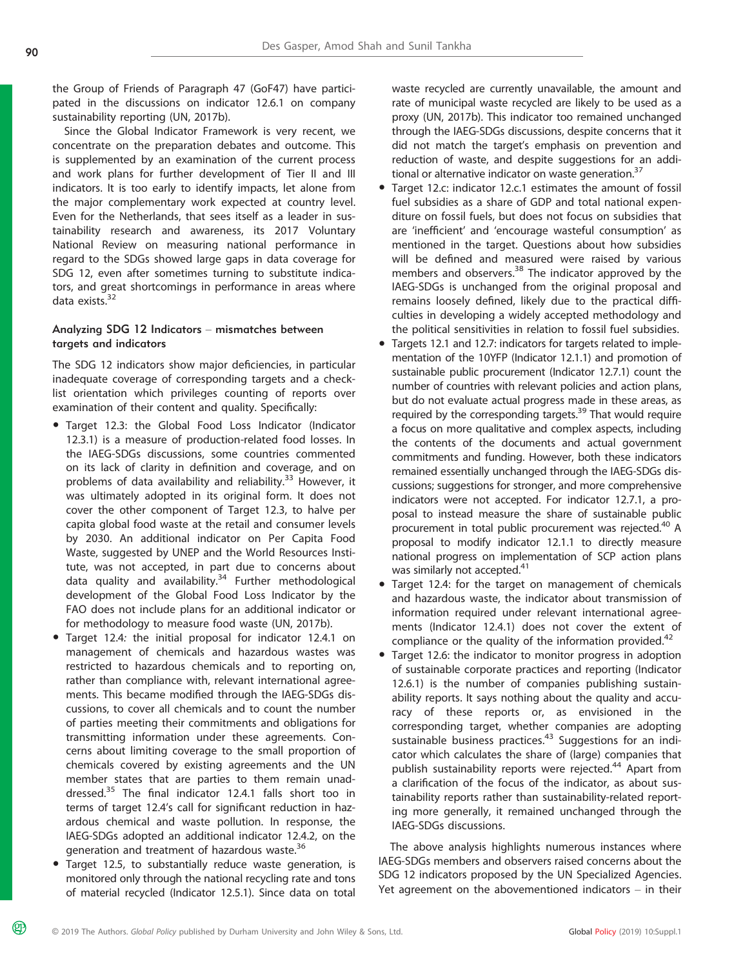the Group of Friends of Paragraph 47 (GoF47) have participated in the discussions on indicator 12.6.1 on company sustainability reporting (UN, 2017b).

Since the Global Indicator Framework is very recent, we concentrate on the preparation debates and outcome. This is supplemented by an examination of the current process and work plans for further development of Tier II and III indicators. It is too early to identify impacts, let alone from the major complementary work expected at country level. Even for the Netherlands, that sees itself as a leader in sustainability research and awareness, its 2017 Voluntary National Review on measuring national performance in regard to the SDGs showed large gaps in data coverage for SDG 12, even after sometimes turning to substitute indicators, and great shortcomings in performance in areas where data exists. $32$ 

# Analyzing SDG 12 Indicators – mismatches between targets and indicators

The SDG 12 indicators show major deficiencies, in particular inadequate coverage of corresponding targets and a checklist orientation which privileges counting of reports over examination of their content and quality. Specifically:

- Target 12.3: the Global Food Loss Indicator (Indicator 12.3.1) is a measure of production-related food losses. In the IAEG-SDGs discussions, some countries commented on its lack of clarity in definition and coverage, and on problems of data availability and reliability.<sup>33</sup> However, it was ultimately adopted in its original form. It does not cover the other component of Target 12.3, to halve per capita global food waste at the retail and consumer levels by 2030. An additional indicator on Per Capita Food Waste, suggested by UNEP and the World Resources Institute, was not accepted, in part due to concerns about data quality and availability.<sup>34</sup> Further methodological development of the Global Food Loss Indicator by the FAO does not include plans for an additional indicator or for methodology to measure food waste (UN, 2017b).
- Target 12.4: the initial proposal for indicator 12.4.1 on management of chemicals and hazardous wastes was restricted to hazardous chemicals and to reporting on, rather than compliance with, relevant international agreements. This became modified through the IAEG-SDGs discussions, to cover all chemicals and to count the number of parties meeting their commitments and obligations for transmitting information under these agreements. Concerns about limiting coverage to the small proportion of chemicals covered by existing agreements and the UN member states that are parties to them remain unaddressed.<sup>35</sup> The final indicator 12.4.1 falls short too in terms of target 12.4's call for significant reduction in hazardous chemical and waste pollution. In response, the IAEG-SDGs adopted an additional indicator 12.4.2, on the generation and treatment of hazardous waste.<sup>36</sup>
- Target 12.5, to substantially reduce waste generation, is monitored only through the national recycling rate and tons of material recycled (Indicator 12.5.1). Since data on total

waste recycled are currently unavailable, the amount and rate of municipal waste recycled are likely to be used as a proxy (UN, 2017b). This indicator too remained unchanged through the IAEG-SDGs discussions, despite concerns that it did not match the target's emphasis on prevention and reduction of waste, and despite suggestions for an additional or alternative indicator on waste generation.<sup>37</sup>

- Target 12.c: indicator 12.c.1 estimates the amount of fossil fuel subsidies as a share of GDP and total national expenditure on fossil fuels, but does not focus on subsidies that are 'inefficient' and 'encourage wasteful consumption' as mentioned in the target. Questions about how subsidies will be defined and measured were raised by various members and observers.<sup>38</sup> The indicator approved by the IAEG-SDGs is unchanged from the original proposal and remains loosely defined, likely due to the practical difficulties in developing a widely accepted methodology and the political sensitivities in relation to fossil fuel subsidies.
- Targets 12.1 and 12.7: indicators for targets related to implementation of the 10YFP (Indicator 12.1.1) and promotion of sustainable public procurement (Indicator 12.7.1) count the number of countries with relevant policies and action plans, but do not evaluate actual progress made in these areas, as required by the corresponding targets.<sup>39</sup> That would require a focus on more qualitative and complex aspects, including the contents of the documents and actual government commitments and funding. However, both these indicators remained essentially unchanged through the IAEG-SDGs discussions; suggestions for stronger, and more comprehensive indicators were not accepted. For indicator 12.7.1, a proposal to instead measure the share of sustainable public procurement in total public procurement was rejected.<sup>40</sup> A proposal to modify indicator 12.1.1 to directly measure national progress on implementation of SCP action plans was similarly not accepted.<sup>41</sup>
- Target 12.4: for the target on management of chemicals and hazardous waste, the indicator about transmission of information required under relevant international agreements (Indicator 12.4.1) does not cover the extent of compliance or the quality of the information provided. $42$
- Target 12.6: the indicator to monitor progress in adoption of sustainable corporate practices and reporting (Indicator 12.6.1) is the number of companies publishing sustainability reports. It says nothing about the quality and accuracy of these reports or, as envisioned in the corresponding target, whether companies are adopting sustainable business practices.<sup>43</sup> Suggestions for an indicator which calculates the share of (large) companies that publish sustainability reports were rejected.<sup>44</sup> Apart from a clarification of the focus of the indicator, as about sustainability reports rather than sustainability-related reporting more generally, it remained unchanged through the IAEG-SDGs discussions.

The above analysis highlights numerous instances where IAEG-SDGs members and observers raised concerns about the SDG 12 indicators proposed by the UN Specialized Agencies. Yet agreement on the abovementioned indicators – in their

മ്ര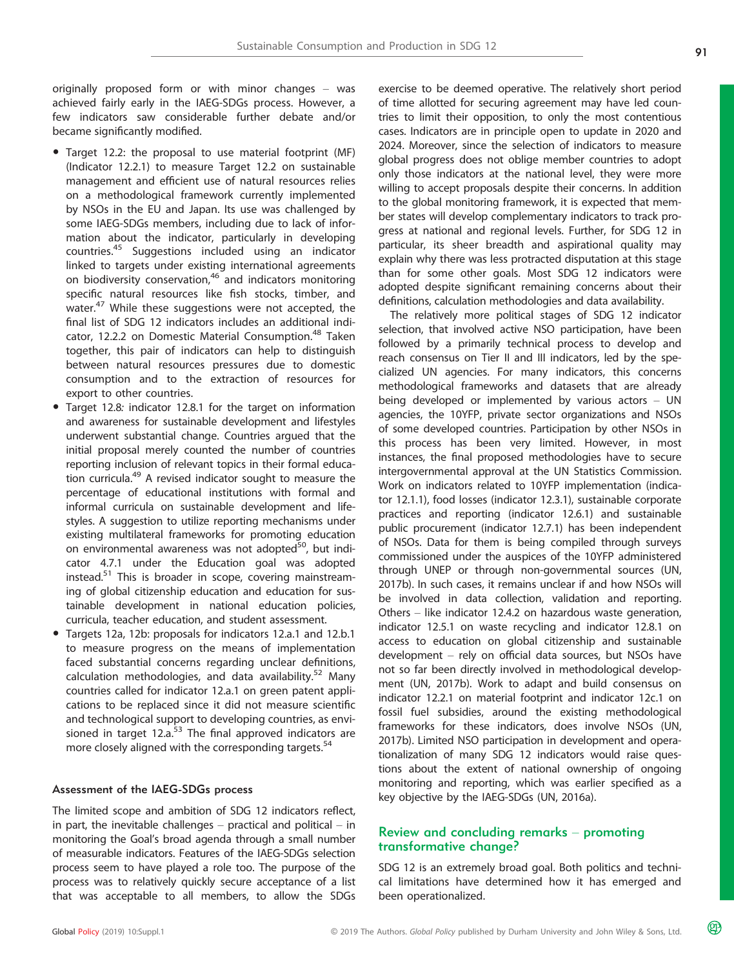originally proposed form or with minor changes – was achieved fairly early in the IAEG-SDGs process. However, a few indicators saw considerable further debate and/or became significantly modified.

- Target 12.2: the proposal to use material footprint (MF) (Indicator 12.2.1) to measure Target 12.2 on sustainable management and efficient use of natural resources relies on a methodological framework currently implemented by NSOs in the EU and Japan. Its use was challenged by some IAEG-SDGs members, including due to lack of information about the indicator, particularly in developing countries.<sup>45</sup> Suggestions included using an indicator linked to targets under existing international agreements on biodiversity conservation,<sup>46</sup> and indicators monitoring specific natural resources like fish stocks, timber, and water.<sup>47</sup> While these suggestions were not accepted, the final list of SDG 12 indicators includes an additional indicator, 12.2.2 on Domestic Material Consumption.<sup>48</sup> Taken together, this pair of indicators can help to distinguish between natural resources pressures due to domestic consumption and to the extraction of resources for export to other countries.
- Target 12.8: indicator 12.8.1 for the target on information and awareness for sustainable development and lifestyles underwent substantial change. Countries argued that the initial proposal merely counted the number of countries reporting inclusion of relevant topics in their formal education curricula.<sup>49</sup> A revised indicator sought to measure the percentage of educational institutions with formal and informal curricula on sustainable development and lifestyles. A suggestion to utilize reporting mechanisms under existing multilateral frameworks for promoting education on environmental awareness was not adopted<sup>50</sup>, but indicator 4.7.1 under the Education goal was adopted instead.<sup>51</sup> This is broader in scope, covering mainstreaming of global citizenship education and education for sustainable development in national education policies, curricula, teacher education, and student assessment.
- Targets 12a, 12b: proposals for indicators 12.a.1 and 12.b.1 to measure progress on the means of implementation faced substantial concerns regarding unclear definitions, calculation methodologies, and data availability.<sup>52</sup> Many countries called for indicator 12.a.1 on green patent applications to be replaced since it did not measure scientific and technological support to developing countries, as envisioned in target  $12.a.^{53}$  The final approved indicators are more closely aligned with the corresponding targets.<sup>54</sup>

#### Assessment of the IAEG-SDGs process

The limited scope and ambition of SDG 12 indicators reflect, in part, the inevitable challenges  $-$  practical and political  $-$  in monitoring the Goal's broad agenda through a small number of measurable indicators. Features of the IAEG-SDGs selection process seem to have played a role too. The purpose of the process was to relatively quickly secure acceptance of a list that was acceptable to all members, to allow the SDGs exercise to be deemed operative. The relatively short period of time allotted for securing agreement may have led countries to limit their opposition, to only the most contentious cases. Indicators are in principle open to update in 2020 and 2024. Moreover, since the selection of indicators to measure global progress does not oblige member countries to adopt only those indicators at the national level, they were more willing to accept proposals despite their concerns. In addition to the global monitoring framework, it is expected that member states will develop complementary indicators to track progress at national and regional levels. Further, for SDG 12 in particular, its sheer breadth and aspirational quality may explain why there was less protracted disputation at this stage than for some other goals. Most SDG 12 indicators were adopted despite significant remaining concerns about their definitions, calculation methodologies and data availability.

The relatively more political stages of SDG 12 indicator selection, that involved active NSO participation, have been followed by a primarily technical process to develop and reach consensus on Tier II and III indicators, led by the specialized UN agencies. For many indicators, this concerns methodological frameworks and datasets that are already being developed or implemented by various actors – UN agencies, the 10YFP, private sector organizations and NSOs of some developed countries. Participation by other NSOs in this process has been very limited. However, in most instances, the final proposed methodologies have to secure intergovernmental approval at the UN Statistics Commission. Work on indicators related to 10YFP implementation (indicator 12.1.1), food losses (indicator 12.3.1), sustainable corporate practices and reporting (indicator 12.6.1) and sustainable public procurement (indicator 12.7.1) has been independent of NSOs. Data for them is being compiled through surveys commissioned under the auspices of the 10YFP administered through UNEP or through non-governmental sources (UN, 2017b). In such cases, it remains unclear if and how NSOs will be involved in data collection, validation and reporting. Others – like indicator 12.4.2 on hazardous waste generation, indicator 12.5.1 on waste recycling and indicator 12.8.1 on access to education on global citizenship and sustainable development – rely on official data sources, but NSOs have not so far been directly involved in methodological development (UN, 2017b). Work to adapt and build consensus on indicator 12.2.1 on material footprint and indicator 12c.1 on fossil fuel subsidies, around the existing methodological frameworks for these indicators, does involve NSOs (UN, 2017b). Limited NSO participation in development and operationalization of many SDG 12 indicators would raise questions about the extent of national ownership of ongoing monitoring and reporting, which was earlier specified as a key objective by the IAEG-SDGs (UN, 2016a).

## Review and concluding remarks – promoting transformative change?

SDG 12 is an extremely broad goal. Both politics and technical limitations have determined how it has emerged and been operationalized.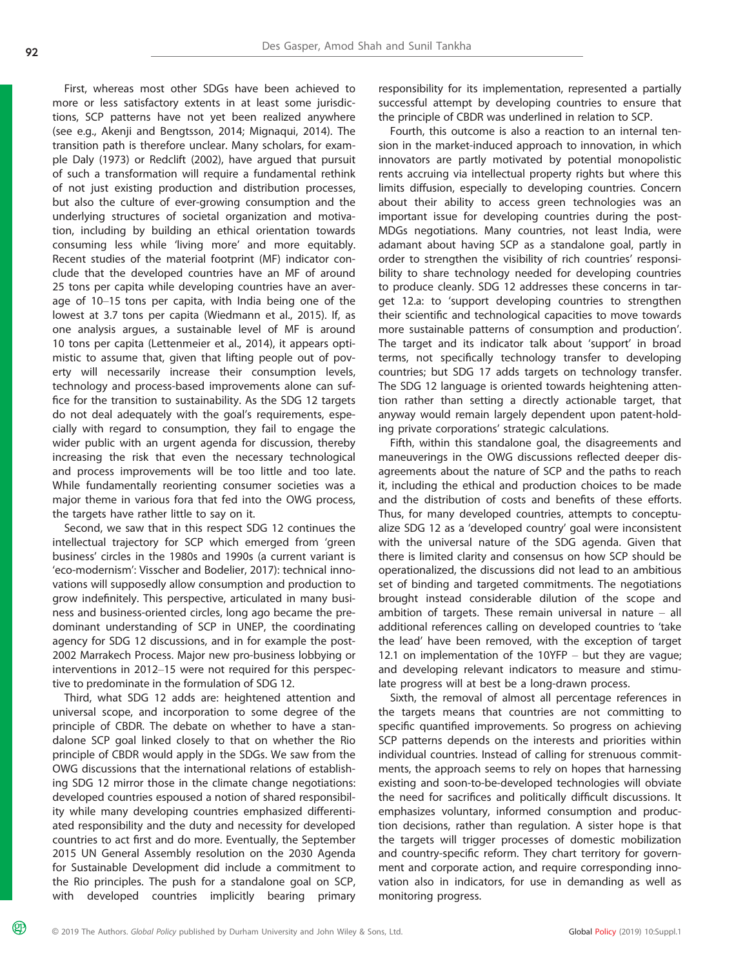മ്ര

First, whereas most other SDGs have been achieved to more or less satisfactory extents in at least some jurisdictions, SCP patterns have not yet been realized anywhere (see e.g., Akenji and Bengtsson, 2014; Mignaqui, 2014). The transition path is therefore unclear. Many scholars, for example Daly (1973) or Redclift (2002), have argued that pursuit of such a transformation will require a fundamental rethink of not just existing production and distribution processes, but also the culture of ever-growing consumption and the underlying structures of societal organization and motivation, including by building an ethical orientation towards consuming less while 'living more' and more equitably. Recent studies of the material footprint (MF) indicator conclude that the developed countries have an MF of around 25 tons per capita while developing countries have an average of 10–15 tons per capita, with India being one of the lowest at 3.7 tons per capita (Wiedmann et al., 2015). If, as one analysis argues, a sustainable level of MF is around 10 tons per capita (Lettenmeier et al., 2014), it appears optimistic to assume that, given that lifting people out of poverty will necessarily increase their consumption levels, technology and process-based improvements alone can suffice for the transition to sustainability. As the SDG 12 targets do not deal adequately with the goal's requirements, especially with regard to consumption, they fail to engage the wider public with an urgent agenda for discussion, thereby increasing the risk that even the necessary technological and process improvements will be too little and too late. While fundamentally reorienting consumer societies was a major theme in various fora that fed into the OWG process, the targets have rather little to say on it.

Second, we saw that in this respect SDG 12 continues the intellectual trajectory for SCP which emerged from 'green business' circles in the 1980s and 1990s (a current variant is 'eco-modernism': Visscher and Bodelier, 2017): technical innovations will supposedly allow consumption and production to grow indefinitely. This perspective, articulated in many business and business-oriented circles, long ago became the predominant understanding of SCP in UNEP, the coordinating agency for SDG 12 discussions, and in for example the post-2002 Marrakech Process. Major new pro-business lobbying or interventions in 2012–15 were not required for this perspective to predominate in the formulation of SDG 12.

Third, what SDG 12 adds are: heightened attention and universal scope, and incorporation to some degree of the principle of CBDR. The debate on whether to have a standalone SCP goal linked closely to that on whether the Rio principle of CBDR would apply in the SDGs. We saw from the OWG discussions that the international relations of establishing SDG 12 mirror those in the climate change negotiations: developed countries espoused a notion of shared responsibility while many developing countries emphasized differentiated responsibility and the duty and necessity for developed countries to act first and do more. Eventually, the September 2015 UN General Assembly resolution on the 2030 Agenda for Sustainable Development did include a commitment to the Rio principles. The push for a standalone goal on SCP, with developed countries implicitly bearing primary

responsibility for its implementation, represented a partially successful attempt by developing countries to ensure that the principle of CBDR was underlined in relation to SCP.

Fourth, this outcome is also a reaction to an internal tension in the market-induced approach to innovation, in which innovators are partly motivated by potential monopolistic rents accruing via intellectual property rights but where this limits diffusion, especially to developing countries. Concern about their ability to access green technologies was an important issue for developing countries during the post-MDGs negotiations. Many countries, not least India, were adamant about having SCP as a standalone goal, partly in order to strengthen the visibility of rich countries' responsibility to share technology needed for developing countries to produce cleanly. SDG 12 addresses these concerns in target 12.a: to 'support developing countries to strengthen their scientific and technological capacities to move towards more sustainable patterns of consumption and production'. The target and its indicator talk about 'support' in broad terms, not specifically technology transfer to developing countries; but SDG 17 adds targets on technology transfer. The SDG 12 language is oriented towards heightening attention rather than setting a directly actionable target, that anyway would remain largely dependent upon patent-holding private corporations' strategic calculations.

Fifth, within this standalone goal, the disagreements and maneuverings in the OWG discussions reflected deeper disagreements about the nature of SCP and the paths to reach it, including the ethical and production choices to be made and the distribution of costs and benefits of these efforts. Thus, for many developed countries, attempts to conceptualize SDG 12 as a 'developed country' goal were inconsistent with the universal nature of the SDG agenda. Given that there is limited clarity and consensus on how SCP should be operationalized, the discussions did not lead to an ambitious set of binding and targeted commitments. The negotiations brought instead considerable dilution of the scope and ambition of targets. These remain universal in nature  $-$  all additional references calling on developed countries to 'take the lead' have been removed, with the exception of target 12.1 on implementation of the 10YFP – but they are vague; and developing relevant indicators to measure and stimulate progress will at best be a long-drawn process.

Sixth, the removal of almost all percentage references in the targets means that countries are not committing to specific quantified improvements. So progress on achieving SCP patterns depends on the interests and priorities within individual countries. Instead of calling for strenuous commitments, the approach seems to rely on hopes that harnessing existing and soon-to-be-developed technologies will obviate the need for sacrifices and politically difficult discussions. It emphasizes voluntary, informed consumption and production decisions, rather than regulation. A sister hope is that the targets will trigger processes of domestic mobilization and country-specific reform. They chart territory for government and corporate action, and require corresponding innovation also in indicators, for use in demanding as well as monitoring progress.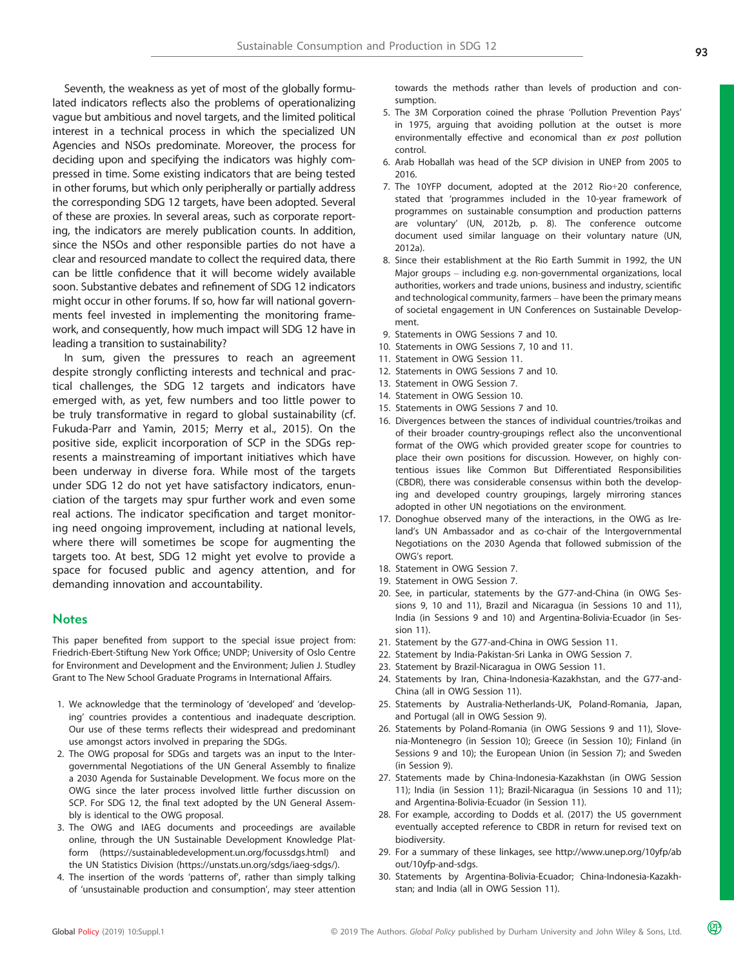Seventh, the weakness as yet of most of the globally formulated indicators reflects also the problems of operationalizing vague but ambitious and novel targets, and the limited political interest in a technical process in which the specialized UN Agencies and NSOs predominate. Moreover, the process for deciding upon and specifying the indicators was highly compressed in time. Some existing indicators that are being tested in other forums, but which only peripherally or partially address the corresponding SDG 12 targets, have been adopted. Several of these are proxies. In several areas, such as corporate reporting, the indicators are merely publication counts. In addition, since the NSOs and other responsible parties do not have a clear and resourced mandate to collect the required data, there can be little confidence that it will become widely available soon. Substantive debates and refinement of SDG 12 indicators might occur in other forums. If so, how far will national governments feel invested in implementing the monitoring framework, and consequently, how much impact will SDG 12 have in leading a transition to sustainability?

In sum, given the pressures to reach an agreement despite strongly conflicting interests and technical and practical challenges, the SDG 12 targets and indicators have emerged with, as yet, few numbers and too little power to be truly transformative in regard to global sustainability (cf. Fukuda-Parr and Yamin, 2015; Merry et al., 2015). On the positive side, explicit incorporation of SCP in the SDGs represents a mainstreaming of important initiatives which have been underway in diverse fora. While most of the targets under SDG 12 do not yet have satisfactory indicators, enunciation of the targets may spur further work and even some real actions. The indicator specification and target monitoring need ongoing improvement, including at national levels, where there will sometimes be scope for augmenting the targets too. At best, SDG 12 might yet evolve to provide a space for focused public and agency attention, and for demanding innovation and accountability.

## **Notes**

This paper benefited from support to the special issue project from: Friedrich-Ebert-Stiftung New York Office; UNDP; University of Oslo Centre for Environment and Development and the Environment; Julien J. Studley Grant to The New School Graduate Programs in International Affairs.

- 1. We acknowledge that the terminology of 'developed' and 'developing' countries provides a contentious and inadequate description. Our use of these terms reflects their widespread and predominant use amongst actors involved in preparing the SDGs.
- 2. The OWG proposal for SDGs and targets was an input to the Intergovernmental Negotiations of the UN General Assembly to finalize a 2030 Agenda for Sustainable Development. We focus more on the OWG since the later process involved little further discussion on SCP. For SDG 12, the final text adopted by the UN General Assembly is identical to the OWG proposal.
- 3. The OWG and IAEG documents and proceedings are available online, through the UN Sustainable Development Knowledge Platform ([https://sustainabledevelopment.un.org/focussdgs.html\)](https://sustainabledevelopment.un.org/focussdgs.html) and the UN Statistics Division [\(https://unstats.un.org/sdgs/iaeg-sdgs/\)](https://unstats.un.org/sdgs/iaeg-sdgs/).
- 4. The insertion of the words 'patterns of', rather than simply talking of 'unsustainable production and consumption', may steer attention

towards the methods rather than levels of production and consumption.

- 5. The 3M Corporation coined the phrase 'Pollution Prevention Pays' in 1975, arguing that avoiding pollution at the outset is more environmentally effective and economical than ex post pollution control.
- 6. Arab Hoballah was head of the SCP division in UNEP from 2005 to 2016.
- 7. The 10YFP document, adopted at the 2012 Rio+20 conference, stated that 'programmes included in the 10-year framework of programmes on sustainable consumption and production patterns are voluntary' (UN, 2012b, p. 8). The conference outcome document used similar language on their voluntary nature (UN, 2012a).
- 8. Since their establishment at the Rio Earth Summit in 1992, the UN Major groups – including e.g. non-governmental organizations, local authorities, workers and trade unions, business and industry, scientific and technological community, farmers – have been the primary means of societal engagement in UN Conferences on Sustainable Development.
- 9. Statements in OWG Sessions 7 and 10.
- 10. Statements in OWG Sessions 7, 10 and 11.
- 11. Statement in OWG Session 11.
- 12. Statements in OWG Sessions 7 and 10.
- 13. Statement in OWG Session 7.
- 14. Statement in OWG Session 10.
- 15. Statements in OWG Sessions 7 and 10.
- 16. Divergences between the stances of individual countries/troikas and of their broader country-groupings reflect also the unconventional format of the OWG which provided greater scope for countries to place their own positions for discussion. However, on highly contentious issues like Common But Differentiated Responsibilities (CBDR), there was considerable consensus within both the developing and developed country groupings, largely mirroring stances adopted in other UN negotiations on the environment.
- 17. Donoghue observed many of the interactions, in the OWG as Ireland's UN Ambassador and as co-chair of the Intergovernmental Negotiations on the 2030 Agenda that followed submission of the OWG's report.
- 18. Statement in OWG Session 7.
- 19. Statement in OWG Session 7.
- 20. See, in particular, statements by the G77-and-China (in OWG Sessions 9, 10 and 11), Brazil and Nicaragua (in Sessions 10 and 11), India (in Sessions 9 and 10) and Argentina-Bolivia-Ecuador (in Session 11).
- 21. Statement by the G77-and-China in OWG Session 11.
- 22. Statement by India-Pakistan-Sri Lanka in OWG Session 7.
- 23. Statement by Brazil-Nicaragua in OWG Session 11.
- 24. Statements by Iran, China-Indonesia-Kazakhstan, and the G77-and-China (all in OWG Session 11).
- 25. Statements by Australia-Netherlands-UK, Poland-Romania, Japan, and Portugal (all in OWG Session 9).
- 26. Statements by Poland-Romania (in OWG Sessions 9 and 11), Slovenia-Montenegro (in Session 10); Greece (in Session 10); Finland (in Sessions 9 and 10); the European Union (in Session 7); and Sweden (in Session 9).
- 27. Statements made by China-Indonesia-Kazakhstan (in OWG Session 11); India (in Session 11); Brazil-Nicaragua (in Sessions 10 and 11); and Argentina-Bolivia-Ecuador (in Session 11).
- 28. For example, according to Dodds et al. (2017) the US government eventually accepted reference to CBDR in return for revised text on biodiversity.
- 29. For a summary of these linkages, see [http://www.unep.org/10yfp/ab](http://www.unep.org/10yfp/about/10yfp-and-sdgs) [out/10yfp-and-sdgs](http://www.unep.org/10yfp/about/10yfp-and-sdgs).
- 30. Statements by Argentina-Bolivia-Ecuador; China-Indonesia-Kazakhstan; and India (all in OWG Session 11).

௵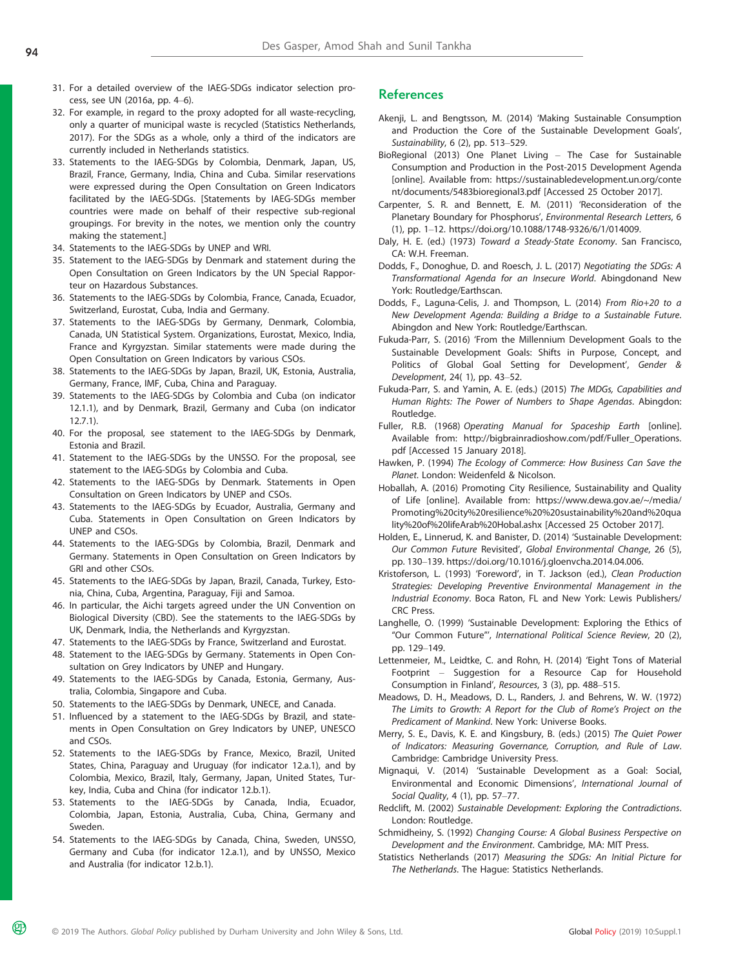- 31. For a detailed overview of the IAEG-SDGs indicator selection process, see UN (2016a, pp. 4–6).
- 32. For example, in regard to the proxy adopted for all waste-recycling, only a quarter of municipal waste is recycled (Statistics Netherlands, 2017). For the SDGs as a whole, only a third of the indicators are currently included in Netherlands statistics.
- 33. Statements to the IAEG-SDGs by Colombia, Denmark, Japan, US, Brazil, France, Germany, India, China and Cuba. Similar reservations were expressed during the Open Consultation on Green Indicators facilitated by the IAEG-SDGs. [Statements by IAEG-SDGs member countries were made on behalf of their respective sub-regional groupings. For brevity in the notes, we mention only the country making the statement.]
- 34. Statements to the IAEG-SDGs by UNEP and WRI.
- 35. Statement to the IAEG-SDGs by Denmark and statement during the Open Consultation on Green Indicators by the UN Special Rapporteur on Hazardous Substances.
- 36. Statements to the IAEG-SDGs by Colombia, France, Canada, Ecuador, Switzerland, Eurostat, Cuba, India and Germany.
- 37. Statements to the IAEG-SDGs by Germany, Denmark, Colombia, Canada, UN Statistical System. Organizations, Eurostat, Mexico, India, France and Kyrgyzstan. Similar statements were made during the Open Consultation on Green Indicators by various CSOs.
- 38. Statements to the IAEG-SDGs by Japan, Brazil, UK, Estonia, Australia, Germany, France, IMF, Cuba, China and Paraguay.
- 39. Statements to the IAEG-SDGs by Colombia and Cuba (on indicator 12.1.1), and by Denmark, Brazil, Germany and Cuba (on indicator 12.7.1).
- 40. For the proposal, see statement to the IAEG-SDGs by Denmark, Estonia and Brazil.
- 41. Statement to the IAEG-SDGs by the UNSSO. For the proposal, see statement to the IAEG-SDGs by Colombia and Cuba.
- 42. Statements to the IAEG-SDGs by Denmark. Statements in Open Consultation on Green Indicators by UNEP and CSOs.
- 43. Statements to the IAEG-SDGs by Ecuador, Australia, Germany and Cuba. Statements in Open Consultation on Green Indicators by UNEP and CSOs.
- 44. Statements to the IAEG-SDGs by Colombia, Brazil, Denmark and Germany. Statements in Open Consultation on Green Indicators by GRI and other CSOs.
- 45. Statements to the IAEG-SDGs by Japan, Brazil, Canada, Turkey, Estonia, China, Cuba, Argentina, Paraguay, Fiji and Samoa.
- 46. In particular, the Aichi targets agreed under the UN Convention on Biological Diversity (CBD). See the statements to the IAEG-SDGs by UK, Denmark, India, the Netherlands and Kyrgyzstan.
- 47. Statements to the IAEG-SDGs by France, Switzerland and Eurostat.
- 48. Statement to the IAEG-SDGs by Germany. Statements in Open Consultation on Grey Indicators by UNEP and Hungary.
- 49. Statements to the IAEG-SDGs by Canada, Estonia, Germany, Australia, Colombia, Singapore and Cuba.
- 50. Statements to the IAEG-SDGs by Denmark, UNECE, and Canada.
- 51. Influenced by a statement to the IAEG-SDGs by Brazil, and statements in Open Consultation on Grey Indicators by UNEP, UNESCO and CSOs.
- 52. Statements to the IAEG-SDGs by France, Mexico, Brazil, United States, China, Paraguay and Uruguay (for indicator 12.a.1), and by Colombia, Mexico, Brazil, Italy, Germany, Japan, United States, Turkey, India, Cuba and China (for indicator 12.b.1).
- 53. Statements to the IAEG-SDGs by Canada, India, Ecuador, Colombia, Japan, Estonia, Australia, Cuba, China, Germany and Sweden.
- 54. Statements to the IAEG-SDGs by Canada, China, Sweden, UNSSO, Germany and Cuba (for indicator 12.a.1), and by UNSSO, Mexico and Australia (for indicator 12.b.1).

#### **References**

- Akenji, L. and Bengtsson, M. (2014) 'Making Sustainable Consumption and Production the Core of the Sustainable Development Goals', Sustainability, 6 (2), pp. 513–529.
- BioRegional (2013) One Planet Living The Case for Sustainable Consumption and Production in the Post-2015 Development Agenda [online]. Available from: [https://sustainabledevelopment.un.org/conte](https://sustainabledevelopment.un.org/content/documents/5483bioregional3.pdf) [nt/documents/5483bioregional3.pdf](https://sustainabledevelopment.un.org/content/documents/5483bioregional3.pdf) [Accessed 25 October 2017].
- Carpenter, S. R. and Bennett, E. M. (2011) 'Reconsideration of the Planetary Boundary for Phosphorus', Environmental Research Letters, 6 (1), pp. 1–12.<https://doi.org/10.1088/1748-9326/6/1/014009>.
- Daly, H. E. (ed.) (1973) Toward a Steady-State Economy. San Francisco, CA: W.H. Freeman.
- Dodds, F., Donoghue, D. and Roesch, J. L. (2017) Negotiating the SDGs: A Transformational Agenda for an Insecure World. Abingdonand New York: Routledge/Earthscan.
- Dodds, F., Laguna-Celis, J. and Thompson, L. (2014) From Rio+20 to a New Development Agenda: Building a Bridge to a Sustainable Future. Abingdon and New York: Routledge/Earthscan.
- Fukuda-Parr, S. (2016) 'From the Millennium Development Goals to the Sustainable Development Goals: Shifts in Purpose, Concept, and Politics of Global Goal Setting for Development', Gender & Development, 24( 1), pp. 43–52.
- Fukuda-Parr, S. and Yamin, A. E. (eds.) (2015) The MDGs, Capabilities and Human Rights: The Power of Numbers to Shape Agendas. Abingdon: Routledge.
- Fuller, R.B. (1968) Operating Manual for Spaceship Earth [online]. Available from: [http://bigbrainradioshow.com/pdf/Fuller\\_Operations.](http://bigbrainradioshow.com/pdf/Fuller_Operations.pdf) [pdf](http://bigbrainradioshow.com/pdf/Fuller_Operations.pdf) [Accessed 15 January 2018].
- Hawken, P. (1994) The Ecology of Commerce: How Business Can Save the Planet. London: Weidenfeld & Nicolson.
- Hoballah, A. (2016) Promoting City Resilience, Sustainability and Quality of Life [online]. Available from: [https://www.dewa.gov.ae/~/media/](https://www.dewa.gov.ae/~/media/Promoting%20city%20resilience%20%20sustainability%20and%20quality%20of%20lifeArab%20Hobal.ashx) [Promoting%20city%20resilience%20%20sustainability%20and%20qua](https://www.dewa.gov.ae/~/media/Promoting%20city%20resilience%20%20sustainability%20and%20quality%20of%20lifeArab%20Hobal.ashx) [lity%20of%20lifeArab%20Hobal.ashx](https://www.dewa.gov.ae/~/media/Promoting%20city%20resilience%20%20sustainability%20and%20quality%20of%20lifeArab%20Hobal.ashx) [Accessed 25 October 2017].
- Holden, E., Linnerud, K. and Banister, D. (2014) 'Sustainable Development: Our Common Future Revisited', Global Environmental Change, 26 (5), pp. 130–139.<https://doi.org/10.1016/j.gloenvcha.2014.04.006>.
- Kristoferson, L. (1993) 'Foreword', in T. Jackson (ed.), Clean Production Strategies: Developing Preventive Environmental Management in the Industrial Economy. Boca Raton, FL and New York: Lewis Publishers/ CRC Press.
- Langhelle, O. (1999) 'Sustainable Development: Exploring the Ethics of "Our Common Future"', International Political Science Review, 20 (2), pp. 129–149.
- Lettenmeier, M., Leidtke, C. and Rohn, H. (2014) 'Eight Tons of Material Footprint – Suggestion for a Resource Cap for Household Consumption in Finland', Resources, 3 (3), pp. 488–515.
- Meadows, D. H., Meadows, D. L., Randers, J. and Behrens, W. W. (1972) The Limits to Growth: A Report for the Club of Rome's Project on the Predicament of Mankind. New York: Universe Books.
- Merry, S. E., Davis, K. E. and Kingsbury, B. (eds.) (2015) The Quiet Power of Indicators: Measuring Governance, Corruption, and Rule of Law. Cambridge: Cambridge University Press.
- Mignaqui, V. (2014) 'Sustainable Development as a Goal: Social, Environmental and Economic Dimensions', International Journal of Social Quality, 4 (1), pp. 57–77.
- Redclift, M. (2002) Sustainable Development: Exploring the Contradictions. London: Routledge.
- Schmidheiny, S. (1992) Changing Course: A Global Business Perspective on Development and the Environment. Cambridge, MA: MIT Press.
- Statistics Netherlands (2017) Measuring the SDGs: An Initial Picture for The Netherlands. The Hague: Statistics Netherlands.